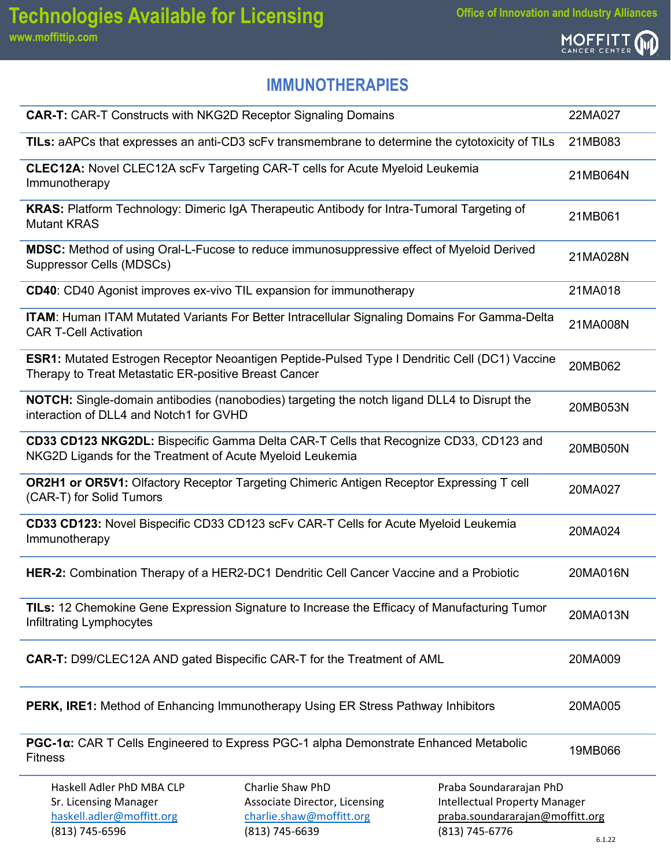(813) 745-6596



#### **IMMUNOTHERAPIES**

| <b>CAR-T:</b> CAR-T Constructs with NKG2D Receptor Signaling Domains                                                                                          |                                                                               |                                                                                                    | 22MA027  |
|---------------------------------------------------------------------------------------------------------------------------------------------------------------|-------------------------------------------------------------------------------|----------------------------------------------------------------------------------------------------|----------|
| TILs: aAPCs that expresses an anti-CD3 scFv transmembrane to determine the cytotoxicity of TILs                                                               |                                                                               |                                                                                                    | 21MB083  |
| <b>CLEC12A:</b> Novel CLEC12A scFv Targeting CAR-T cells for Acute Myeloid Leukemia<br>Immunotherapy                                                          |                                                                               |                                                                                                    | 21MB064N |
| KRAS: Platform Technology: Dimeric IgA Therapeutic Antibody for Intra-Tumoral Targeting of<br><b>Mutant KRAS</b>                                              |                                                                               |                                                                                                    | 21MB061  |
| <b>MDSC:</b> Method of using Oral-L-Fucose to reduce immunosuppressive effect of Myeloid Derived<br>Suppressor Cells (MDSCs)                                  |                                                                               |                                                                                                    | 21MA028N |
| <b>CD40</b> : CD40 Agonist improves ex-vivo TIL expansion for immunotherapy                                                                                   |                                                                               |                                                                                                    | 21MA018  |
| ITAM: Human ITAM Mutated Variants For Better Intracellular Signaling Domains For Gamma-Delta<br><b>CAR T-Cell Activation</b>                                  |                                                                               |                                                                                                    | 21MA008N |
| <b>ESR1:</b> Mutated Estrogen Receptor Neoantigen Peptide-Pulsed Type I Dendritic Cell (DC1) Vaccine<br>Therapy to Treat Metastatic ER-positive Breast Cancer |                                                                               |                                                                                                    | 20MB062  |
| NOTCH: Single-domain antibodies (nanobodies) targeting the notch ligand DLL4 to Disrupt the<br>interaction of DLL4 and Notch1 for GVHD                        |                                                                               |                                                                                                    | 20MB053N |
| CD33 CD123 NKG2DL: Bispecific Gamma Delta CAR-T Cells that Recognize CD33, CD123 and<br>NKG2D Ligands for the Treatment of Acute Myeloid Leukemia             |                                                                               |                                                                                                    | 20MB050N |
| <b>OR2H1 or OR5V1:</b> Olfactory Receptor Targeting Chimeric Antigen Receptor Expressing T cell<br>(CAR-T) for Solid Tumors                                   |                                                                               |                                                                                                    | 20MA027  |
| CD33 CD123: Novel Bispecific CD33 CD123 scFv CAR-T Cells for Acute Myeloid Leukemia<br>Immunotherapy                                                          |                                                                               |                                                                                                    | 20MA024  |
| <b>HER-2:</b> Combination Therapy of a HER2-DC1 Dendritic Cell Cancer Vaccine and a Probiotic                                                                 |                                                                               |                                                                                                    | 20MA016N |
| <b>TILs:</b> 12 Chemokine Gene Expression Signature to Increase the Efficacy of Manufacturing Tumor<br>Infiltrating Lymphocytes                               |                                                                               |                                                                                                    | 20MA013N |
| <b>CAR-T: D99/CLEC12A AND gated Bispecific CAR-T for the Treatment of AML</b>                                                                                 |                                                                               | 20MA009                                                                                            |          |
| <b>PERK, IRE1:</b> Method of Enhancing Immunotherapy Using ER Stress Pathway Inhibitors                                                                       |                                                                               | 20MA005                                                                                            |          |
| PGC-1a: CAR T Cells Engineered to Express PGC-1 alpha Demonstrate Enhanced Metabolic<br><b>Fitness</b>                                                        |                                                                               | 19MB066                                                                                            |          |
| Haskell Adler PhD MBA CLP<br>Sr. Licensing Manager<br>haskell.adler@moffitt.org                                                                               | Charlie Shaw PhD<br>Associate Director, Licensing<br>charlie.shaw@moffitt.org | Praba Soundararajan PhD<br><b>Intellectual Property Manager</b><br>praba.soundararajan@moffitt.org |          |

(813) 745-6639

(813) 745-6776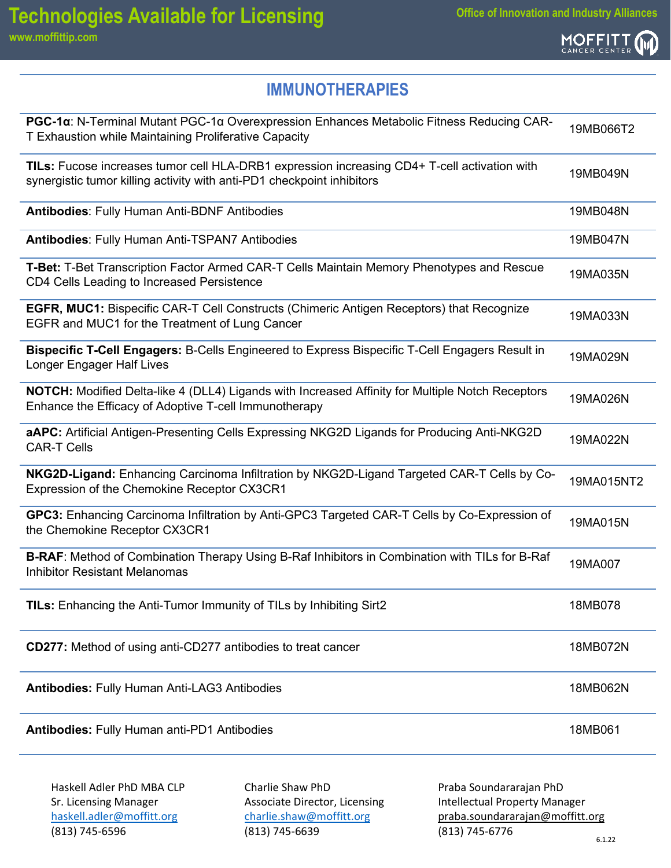

### **IMMUNOTHERAPIES**

| PGC-1a: N-Terminal Mutant PGC-1a Overexpression Enhances Metabolic Fitness Reducing CAR-<br>T Exhaustion while Maintaining Proliferative Capacity                      | 19MB066T2  |
|------------------------------------------------------------------------------------------------------------------------------------------------------------------------|------------|
| TILs: Fucose increases tumor cell HLA-DRB1 expression increasing CD4+ T-cell activation with<br>synergistic tumor killing activity with anti-PD1 checkpoint inhibitors | 19MB049N   |
| <b>Antibodies: Fully Human Anti-BDNF Antibodies</b>                                                                                                                    | 19MB048N   |
| <b>Antibodies: Fully Human Anti-TSPAN7 Antibodies</b>                                                                                                                  | 19MB047N   |
| T-Bet: T-Bet Transcription Factor Armed CAR-T Cells Maintain Memory Phenotypes and Rescue<br>CD4 Cells Leading to Increased Persistence                                | 19MA035N   |
| <b>EGFR, MUC1: Bispecific CAR-T Cell Constructs (Chimeric Antigen Receptors) that Recognize</b><br>EGFR and MUC1 for the Treatment of Lung Cancer                      | 19MA033N   |
| Bispecific T-Cell Engagers: B-Cells Engineered to Express Bispecific T-Cell Engagers Result in<br>Longer Engager Half Lives                                            | 19MA029N   |
| NOTCH: Modified Delta-like 4 (DLL4) Ligands with Increased Affinity for Multiple Notch Receptors<br>Enhance the Efficacy of Adoptive T-cell Immunotherapy              | 19MA026N   |
| <b>aAPC:</b> Artificial Antigen-Presenting Cells Expressing NKG2D Ligands for Producing Anti-NKG2D<br><b>CAR-T Cells</b>                                               | 19MA022N   |
| NKG2D-Ligand: Enhancing Carcinoma Infiltration by NKG2D-Ligand Targeted CAR-T Cells by Co-<br>Expression of the Chemokine Receptor CX3CR1                              | 19MA015NT2 |
| GPC3: Enhancing Carcinoma Infiltration by Anti-GPC3 Targeted CAR-T Cells by Co-Expression of<br>the Chemokine Receptor CX3CR1                                          | 19MA015N   |
| <b>B-RAF:</b> Method of Combination Therapy Using B-Raf Inhibitors in Combination with TILs for B-Raf<br><b>Inhibitor Resistant Melanomas</b>                          | 19MA007    |
| TILs: Enhancing the Anti-Tumor Immunity of TILs by Inhibiting Sirt2                                                                                                    | 18MB078    |
| CD277: Method of using anti-CD277 antibodies to treat cancer                                                                                                           | 18MB072N   |
| <b>Antibodies: Fully Human Anti-LAG3 Antibodies</b>                                                                                                                    | 18MB062N   |
| <b>Antibodies: Fully Human anti-PD1 Antibodies</b>                                                                                                                     | 18MB061    |
|                                                                                                                                                                        |            |

Charlie Shaw PhD Associate Director, Licensing [charlie.shaw@moffitt.org](mailto:charlie.shaw@moffitt.org) (813) 745-6639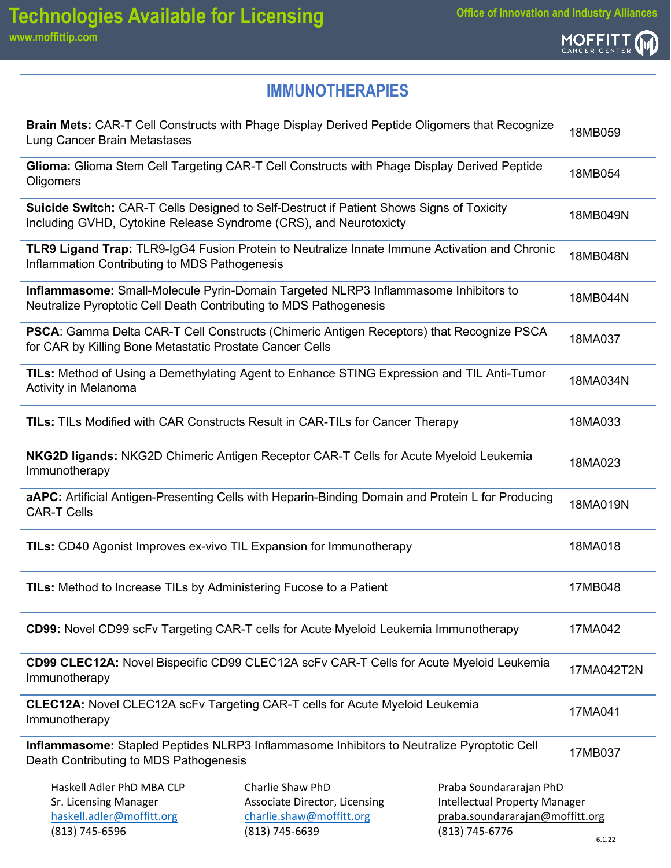(813) 745-6596



#### **IMMUNOTHERAPIES**

| Brain Mets: CAR-T Cell Constructs with Phage Display Derived Peptide Oligomers that Recognize<br>Lung Cancer Brain Metastases                                 |                                                                                                   |                                      | 18MB059  |
|---------------------------------------------------------------------------------------------------------------------------------------------------------------|---------------------------------------------------------------------------------------------------|--------------------------------------|----------|
| Glioma: Glioma Stem Cell Targeting CAR-T Cell Constructs with Phage Display Derived Peptide<br>Oligomers                                                      |                                                                                                   |                                      | 18MB054  |
| Suicide Switch: CAR-T Cells Designed to Self-Destruct if Patient Shows Signs of Toxicity<br>Including GVHD, Cytokine Release Syndrome (CRS), and Neurotoxicty |                                                                                                   |                                      | 18MB049N |
| Inflammation Contributing to MDS Pathogenesis                                                                                                                 | TLR9 Ligand Trap: TLR9-IgG4 Fusion Protein to Neutralize Innate Immune Activation and Chronic     |                                      | 18MB048N |
| Neutralize Pyroptotic Cell Death Contributing to MDS Pathogenesis                                                                                             | Inflammasome: Small-Molecule Pyrin-Domain Targeted NLRP3 Inflammasome Inhibitors to               |                                      | 18MB044N |
| for CAR by Killing Bone Metastatic Prostate Cancer Cells                                                                                                      | <b>PSCA:</b> Gamma Delta CAR-T Cell Constructs (Chimeric Antigen Receptors) that Recognize PSCA   |                                      | 18MA037  |
| Activity in Melanoma                                                                                                                                          | TILs: Method of Using a Demethylating Agent to Enhance STING Expression and TIL Anti-Tumor        |                                      | 18MA034N |
|                                                                                                                                                               | <b>TILs:</b> TILs Modified with CAR Constructs Result in CAR-TILs for Cancer Therapy              |                                      | 18MA033  |
| Immunotherapy                                                                                                                                                 | NKG2D ligands: NKG2D Chimeric Antigen Receptor CAR-T Cells for Acute Myeloid Leukemia             |                                      | 18MA023  |
| <b>CAR-T Cells</b>                                                                                                                                            | aAPC: Artificial Antigen-Presenting Cells with Heparin-Binding Domain and Protein L for Producing |                                      | 18MA019N |
| <b>TILs:</b> CD40 Agonist Improves ex-vivo TIL Expansion for Immunotherapy                                                                                    |                                                                                                   |                                      | 18MA018  |
| <b>TILs:</b> Method to Increase TILs by Administering Fucose to a Patient                                                                                     |                                                                                                   |                                      | 17MB048  |
| CD99: Novel CD99 scFv Targeting CAR-T cells for Acute Myeloid Leukemia Immunotherapy                                                                          |                                                                                                   | 17MA042                              |          |
| CD99 CLEC12A: Novel Bispecific CD99 CLEC12A scFv CAR-T Cells for Acute Myeloid Leukemia<br>Immunotherapy                                                      |                                                                                                   | 17MA042T2N                           |          |
| CLEC12A: Novel CLEC12A scFv Targeting CAR-T cells for Acute Myeloid Leukemia<br>Immunotherapy                                                                 |                                                                                                   | 17MA041                              |          |
| Inflammasome: Stapled Peptides NLRP3 Inflammasome Inhibitors to Neutralize Pyroptotic Cell<br>Death Contributing to MDS Pathogenesis                          |                                                                                                   | 17MB037                              |          |
| Haskell Adler PhD MBA CLP                                                                                                                                     | Charlie Shaw PhD                                                                                  | Praba Soundararajan PhD              |          |
| Sr. Licensing Manager                                                                                                                                         | <b>Associate Director, Licensing</b>                                                              | <b>Intellectual Property Manager</b> |          |
| haskell.adler@moffitt.org                                                                                                                                     | charlie.shaw@moffitt.org                                                                          | praba.soundararajan@moffitt.org      |          |

(813) 745-6639

(813) 745-6776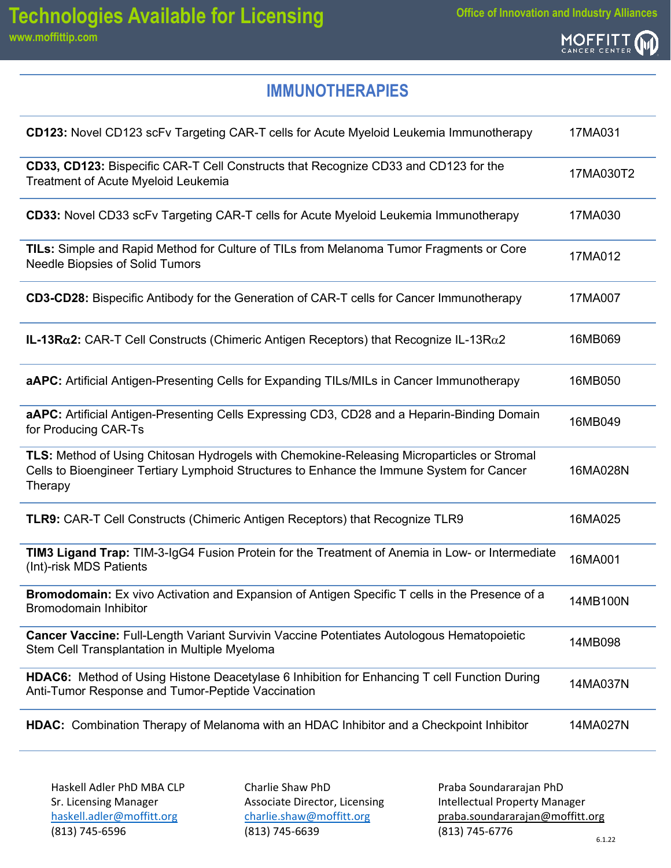

#### **IMMUNOTHERAPIES**

| CD123: Novel CD123 scFv Targeting CAR-T cells for Acute Myeloid Leukemia Immunotherapy                                                                                                             | 17MA031   |
|----------------------------------------------------------------------------------------------------------------------------------------------------------------------------------------------------|-----------|
| CD33, CD123: Bispecific CAR-T Cell Constructs that Recognize CD33 and CD123 for the<br><b>Treatment of Acute Myeloid Leukemia</b>                                                                  | 17MA030T2 |
| <b>CD33:</b> Novel CD33 scFv Targeting CAR-T cells for Acute Myeloid Leukemia Immunotherapy                                                                                                        | 17MA030   |
| TILs: Simple and Rapid Method for Culture of TILs from Melanoma Tumor Fragments or Core<br><b>Needle Biopsies of Solid Tumors</b>                                                                  | 17MA012   |
| <b>CD3-CD28:</b> Bispecific Antibody for the Generation of CAR-T cells for Cancer Immunotherapy                                                                                                    | 17MA007   |
| <b>IL-13R<math>\alpha</math>2:</b> CAR-T Cell Constructs (Chimeric Antigen Receptors) that Recognize IL-13R $\alpha$ 2                                                                             | 16MB069   |
| <b>aAPC:</b> Artificial Antigen-Presenting Cells for Expanding TILs/MILs in Cancer Immunotherapy                                                                                                   | 16MB050   |
| aAPC: Artificial Antigen-Presenting Cells Expressing CD3, CD28 and a Heparin-Binding Domain<br>for Producing CAR-Ts                                                                                | 16MB049   |
| TLS: Method of Using Chitosan Hydrogels with Chemokine-Releasing Microparticles or Stromal<br>Cells to Bioengineer Tertiary Lymphoid Structures to Enhance the Immune System for Cancer<br>Therapy | 16MA028N  |
| <b>TLR9: CAR-T Cell Constructs (Chimeric Antigen Receptors) that Recognize TLR9</b>                                                                                                                | 16MA025   |
| TIM3 Ligand Trap: TIM-3-IgG4 Fusion Protein for the Treatment of Anemia in Low- or Intermediate<br>(Int)-risk MDS Patients                                                                         | 16MA001   |
| Bromodomain: Ex vivo Activation and Expansion of Antigen Specific T cells in the Presence of a<br><b>Bromodomain Inhibitor</b>                                                                     | 14MB100N  |
| <b>Cancer Vaccine:</b> Full-Length Variant Survivin Vaccine Potentiates Autologous Hematopoietic<br>Stem Cell Transplantation in Multiple Myeloma                                                  | 14MB098   |
| HDAC6: Method of Using Histone Deacetylase 6 Inhibition for Enhancing T cell Function During<br>Anti-Tumor Response and Tumor-Peptide Vaccination                                                  | 14MA037N  |
| HDAC: Combination Therapy of Melanoma with an HDAC Inhibitor and a Checkpoint Inhibitor                                                                                                            | 14MA027N  |

Charlie Shaw PhD Associate Director, Licensing [charlie.shaw@moffitt.org](mailto:charlie.shaw@moffitt.org) (813) 745-6639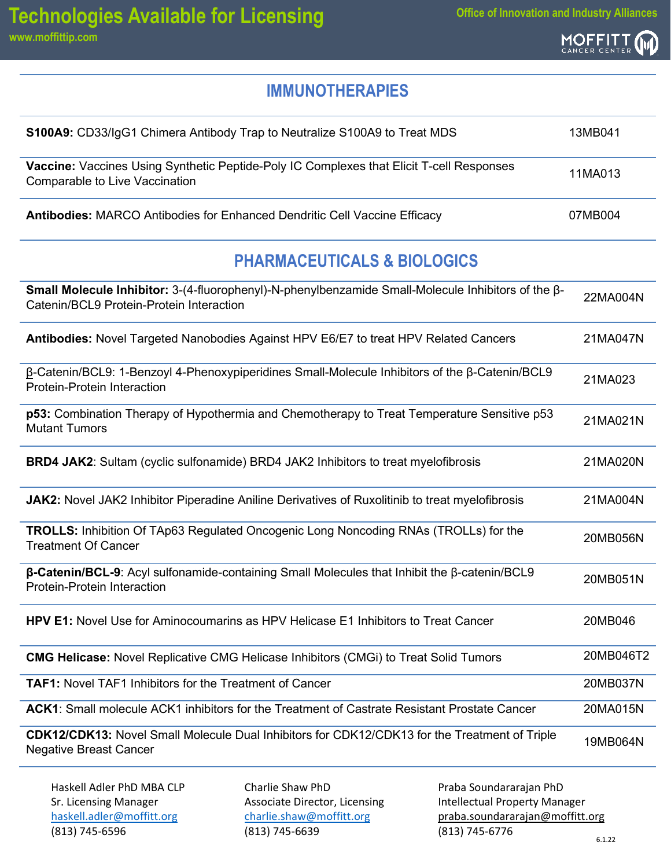

#### **IMMUNOTHERAPIES**

| <b>S100A9:</b> CD33/lgG1 Chimera Antibody Trap to Neutralize S100A9 to Treat MDS                                                  | 13MB041 |
|-----------------------------------------------------------------------------------------------------------------------------------|---------|
| <b>Vaccine:</b> Vaccines Using Synthetic Peptide-Poly IC Complexes that Elicit T-cell Responses<br>Comparable to Live Vaccination | 11MA013 |
| <b>Antibodies: MARCO Antibodies for Enhanced Dendritic Cell Vaccine Efficacy</b>                                                  | 07MB004 |

## **PHARMACEUTICALS & BIOLOGICS**

| <b>Small Molecule Inhibitor:</b> 3-(4-fluorophenyl)-N-phenylbenzamide Small-Molecule Inhibitors of the β-<br>Catenin/BCL9 Protein-Protein Interaction | 22MA004N  |
|-------------------------------------------------------------------------------------------------------------------------------------------------------|-----------|
| Antibodies: Novel Targeted Nanobodies Against HPV E6/E7 to treat HPV Related Cancers                                                                  | 21MA047N  |
| $\beta$ -Catenin/BCL9: 1-Benzoyl 4-Phenoxypiperidines Small-Molecule Inhibitors of the $\beta$ -Catenin/BCL9<br><b>Protein-Protein Interaction</b>    | 21MA023   |
| p53: Combination Therapy of Hypothermia and Chemotherapy to Treat Temperature Sensitive p53<br><b>Mutant Tumors</b>                                   | 21MA021N  |
| <b>BRD4 JAK2:</b> Sultam (cyclic sulfonamide) BRD4 JAK2 Inhibitors to treat myelofibrosis                                                             | 21MA020N  |
| <b>JAK2:</b> Novel JAK2 Inhibitor Piperadine Aniline Derivatives of Ruxolitinib to treat myelofibrosis                                                | 21MA004N  |
| <b>TROLLS:</b> Inhibition Of TAp63 Regulated Oncogenic Long Noncoding RNAs (TROLLs) for the<br><b>Treatment Of Cancer</b>                             | 20MB056N  |
| $\beta$ -Catenin/BCL-9: Acyl sulfonamide-containing Small Molecules that Inhibit the $\beta$ -catenin/BCL9<br><b>Protein-Protein Interaction</b>      | 20MB051N  |
| <b>HPV E1:</b> Novel Use for Aminocoumarins as HPV Helicase E1 Inhibitors to Treat Cancer                                                             | 20MB046   |
| <b>CMG Helicase:</b> Novel Replicative CMG Helicase Inhibitors (CMGi) to Treat Solid Tumors                                                           | 20MB046T2 |
| <b>TAF1:</b> Novel TAF1 Inhibitors for the Treatment of Cancer                                                                                        | 20MB037N  |
| <b>ACK1:</b> Small molecule ACK1 inhibitors for the Treatment of Castrate Resistant Prostate Cancer                                                   | 20MA015N  |
| <b>CDK12/CDK13:</b> Novel Small Molecule Dual Inhibitors for CDK12/CDK13 for the Treatment of Triple<br><b>Negative Breast Cancer</b>                 | 19MB064N  |

Charlie Shaw PhD Associate Director, Licensing [charlie.shaw@moffitt.org](mailto:charlie.shaw@moffitt.org) (813) 745-6639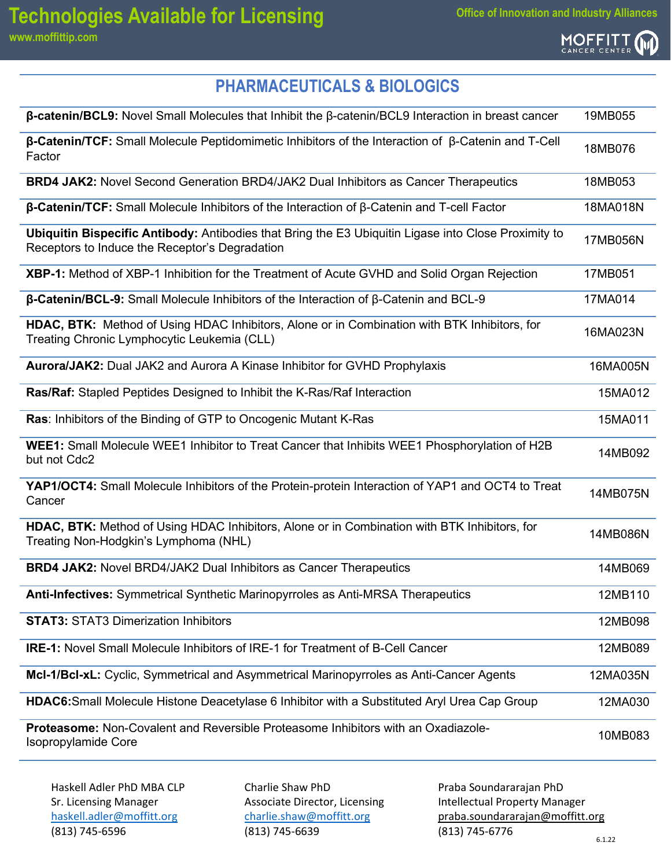# **Technologies Available for Licensing**

#### **PHARMACEUTICALS & BIOLOGICS**

| $\beta$ -catenin/BCL9: Novel Small Molecules that Inhibit the $\beta$ -catenin/BCL9 Interaction in breast cancer                                       | 19MB055  |
|--------------------------------------------------------------------------------------------------------------------------------------------------------|----------|
| $\beta$ -Catenin/TCF: Small Molecule Peptidomimetic Inhibitors of the Interaction of $\beta$ -Catenin and T-Cell<br>Factor                             | 18MB076  |
| <b>BRD4 JAK2:</b> Novel Second Generation BRD4/JAK2 Dual Inhibitors as Cancer Therapeutics                                                             | 18MB053  |
| $\beta$ -Catenin/TCF: Small Molecule Inhibitors of the Interaction of $\beta$ -Catenin and T-cell Factor                                               | 18MA018N |
| Ubiquitin Bispecific Antibody: Antibodies that Bring the E3 Ubiquitin Ligase into Close Proximity to<br>Receptors to Induce the Receptor's Degradation | 17MB056N |
| XBP-1: Method of XBP-1 Inhibition for the Treatment of Acute GVHD and Solid Organ Rejection                                                            | 17MB051  |
| $\beta$ -Catenin/BCL-9: Small Molecule Inhibitors of the Interaction of $\beta$ -Catenin and BCL-9                                                     | 17MA014  |
| HDAC, BTK: Method of Using HDAC Inhibitors, Alone or in Combination with BTK Inhibitors, for<br>Treating Chronic Lymphocytic Leukemia (CLL)            | 16MA023N |
| Aurora/JAK2: Dual JAK2 and Aurora A Kinase Inhibitor for GVHD Prophylaxis                                                                              | 16MA005N |
| Ras/Raf: Stapled Peptides Designed to Inhibit the K-Ras/Raf Interaction                                                                                | 15MA012  |
| Ras: Inhibitors of the Binding of GTP to Oncogenic Mutant K-Ras                                                                                        | 15MA011  |
| WEE1: Small Molecule WEE1 Inhibitor to Treat Cancer that Inhibits WEE1 Phosphorylation of H2B<br>but not Cdc2                                          | 14MB092  |
| YAP1/OCT4: Small Molecule Inhibitors of the Protein-protein Interaction of YAP1 and OCT4 to Treat<br>Cancer                                            | 14MB075N |
| <b>HDAC, BTK:</b> Method of Using HDAC Inhibitors, Alone or in Combination with BTK Inhibitors, for<br>Treating Non-Hodgkin's Lymphoma (NHL)           | 14MB086N |
| <b>BRD4 JAK2: Novel BRD4/JAK2 Dual Inhibitors as Cancer Therapeutics</b>                                                                               | 14MB069  |
| <b>Anti-Infectives:</b> Symmetrical Synthetic Marinopyrroles as Anti-MRSA Therapeutics                                                                 | 12MB110  |
| <b>STAT3: STAT3 Dimerization Inhibitors</b>                                                                                                            | 12MB098  |
| <b>IRE-1:</b> Novel Small Molecule Inhibitors of IRE-1 for Treatment of B-Cell Cancer                                                                  | 12MB089  |
| <b>McI-1/BcI-xL:</b> Cyclic, Symmetrical and Asymmetrical Marinopyrroles as Anti-Cancer Agents                                                         | 12MA035N |
| HDAC6: Small Molecule Histone Deacetylase 6 Inhibitor with a Substituted Aryl Urea Cap Group                                                           | 12MA030  |
| Proteasome: Non-Covalent and Reversible Proteasome Inhibitors with an Oxadiazole-<br>Isopropylamide Core                                               | 10MB083  |

Charlie Shaw PhD Associate Director, Licensing [charlie.shaw@moffitt.org](mailto:charlie.shaw@moffitt.org) (813) 745-6639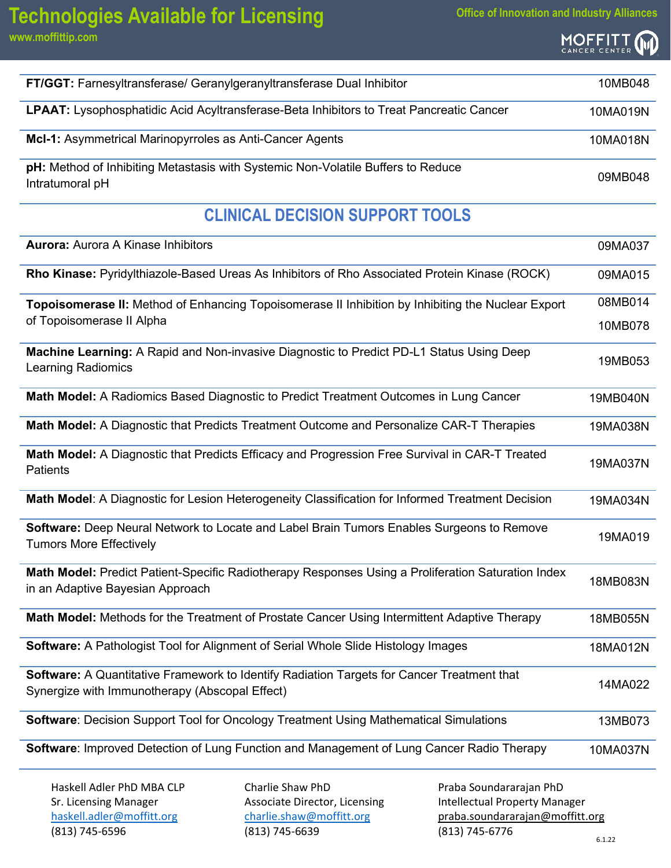| MOFFITT       |  |
|---------------|--|
| CANCER CENTER |  |

| <b>FT/GGT:</b> Farnesyltransferase/ Geranylgeranyltransferase Dual Inhibitor                               | 10MB048  |
|------------------------------------------------------------------------------------------------------------|----------|
| <b>LPAAT:</b> Lysophosphatidic Acid Acyltransferase-Beta Inhibitors to Treat Pancreatic Cancer             | 10MA019N |
| <b>McI-1:</b> Asymmetrical Marinopyrroles as Anti-Cancer Agents                                            | 10MA018N |
| <b>pH:</b> Method of Inhibiting Metastasis with Systemic Non-Volatile Buffers to Reduce<br>Intratumoral pH | 09MB048  |

## **CLINICAL DECISION SUPPORT TOOLS**

| <b>Aurora: Aurora A Kinase Inhibitors</b>                                                                                                    | 09MA037  |
|----------------------------------------------------------------------------------------------------------------------------------------------|----------|
| Rho Kinase: Pyridylthiazole-Based Ureas As Inhibitors of Rho Associated Protein Kinase (ROCK)                                                | 09MA015  |
| Topoisomerase II: Method of Enhancing Topoisomerase II Inhibition by Inhibiting the Nuclear Export                                           | 08MB014  |
| of Topoisomerase II Alpha                                                                                                                    | 10MB078  |
| Machine Learning: A Rapid and Non-invasive Diagnostic to Predict PD-L1 Status Using Deep<br><b>Learning Radiomics</b>                        | 19MB053  |
| Math Model: A Radiomics Based Diagnostic to Predict Treatment Outcomes in Lung Cancer                                                        | 19MB040N |
| Math Model: A Diagnostic that Predicts Treatment Outcome and Personalize CAR-T Therapies                                                     | 19MA038N |
| Math Model: A Diagnostic that Predicts Efficacy and Progression Free Survival in CAR-T Treated<br>Patients                                   | 19MA037N |
| Math Model: A Diagnostic for Lesion Heterogeneity Classification for Informed Treatment Decision                                             | 19MA034N |
| Software: Deep Neural Network to Locate and Label Brain Tumors Enables Surgeons to Remove<br><b>Tumors More Effectively</b>                  | 19MA019  |
| Math Model: Predict Patient-Specific Radiotherapy Responses Using a Proliferation Saturation Index<br>in an Adaptive Bayesian Approach       | 18MB083N |
| Math Model: Methods for the Treatment of Prostate Cancer Using Intermittent Adaptive Therapy                                                 | 18MB055N |
| Software: A Pathologist Tool for Alignment of Serial Whole Slide Histology Images                                                            | 18MA012N |
| Software: A Quantitative Framework to Identify Radiation Targets for Cancer Treatment that<br>Synergize with Immunotherapy (Abscopal Effect) | 14MA022  |
| <b>Software: Decision Support Tool for Oncology Treatment Using Mathematical Simulations</b>                                                 | 13MB073  |
| Software: Improved Detection of Lung Function and Management of Lung Cancer Radio Therapy                                                    | 10MA037N |

Charlie Shaw PhD Associate Director, Licensing [charlie.shaw@moffitt.org](mailto:charlie.shaw@moffitt.org) (813) 745-6639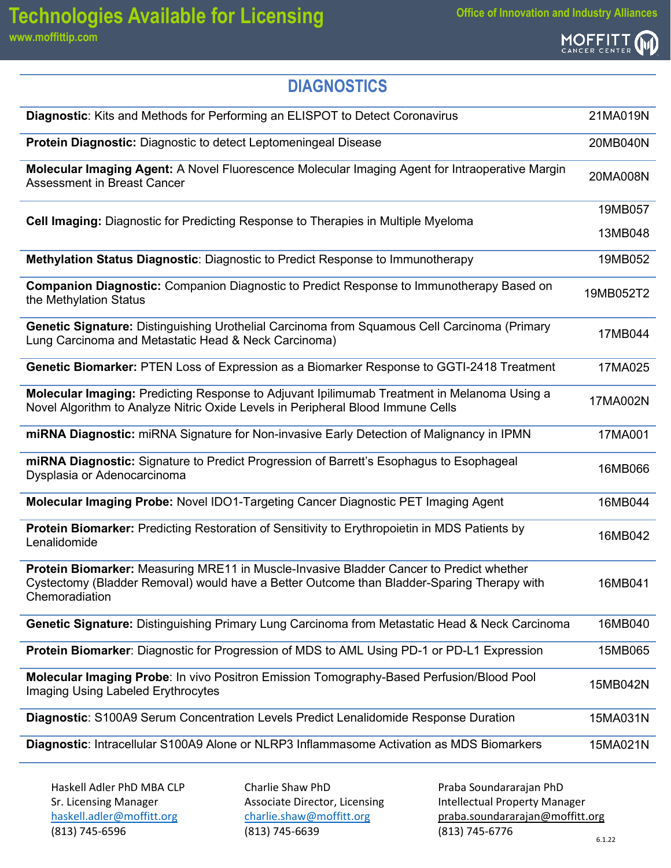# **Technologies Available for Licensing**

**www.moffittip.com**



#### **DIAGNOSTICS**

| <b>Diagnostic:</b> Kits and Methods for Performing an ELISPOT to Detect Coronavirus                                                                                                                     | 21MA019N  |
|---------------------------------------------------------------------------------------------------------------------------------------------------------------------------------------------------------|-----------|
| <b>Protein Diagnostic:</b> Diagnostic to detect Leptomeningeal Disease                                                                                                                                  | 20MB040N  |
| Molecular Imaging Agent: A Novel Fluorescence Molecular Imaging Agent for Intraoperative Margin<br><b>Assessment in Breast Cancer</b>                                                                   | 20MA008N  |
| <b>Cell Imaging:</b> Diagnostic for Predicting Response to Therapies in Multiple Myeloma                                                                                                                | 19MB057   |
|                                                                                                                                                                                                         | 13MB048   |
| <b>Methylation Status Diagnostic: Diagnostic to Predict Response to Immunotherapy</b>                                                                                                                   | 19MB052   |
| <b>Companion Diagnostic:</b> Companion Diagnostic to Predict Response to Immunotherapy Based on<br>the Methylation Status                                                                               | 19MB052T2 |
| Genetic Signature: Distinguishing Urothelial Carcinoma from Squamous Cell Carcinoma (Primary<br>Lung Carcinoma and Metastatic Head & Neck Carcinoma)                                                    | 17MB044   |
| Genetic Biomarker: PTEN Loss of Expression as a Biomarker Response to GGTI-2418 Treatment                                                                                                               | 17MA025   |
| Molecular Imaging: Predicting Response to Adjuvant Ipilimumab Treatment in Melanoma Using a<br>Novel Algorithm to Analyze Nitric Oxide Levels in Peripheral Blood Immune Cells                          | 17MA002N  |
| miRNA Diagnostic: miRNA Signature for Non-invasive Early Detection of Malignancy in IPMN                                                                                                                | 17MA001   |
| miRNA Diagnostic: Signature to Predict Progression of Barrett's Esophagus to Esophageal<br>Dysplasia or Adenocarcinoma                                                                                  | 16MB066   |
| <b>Molecular Imaging Probe: Novel IDO1-Targeting Cancer Diagnostic PET Imaging Agent</b>                                                                                                                | 16MB044   |
| Protein Biomarker: Predicting Restoration of Sensitivity to Erythropoietin in MDS Patients by<br>Lenalidomide                                                                                           | 16MB042   |
| Protein Biomarker: Measuring MRE11 in Muscle-Invasive Bladder Cancer to Predict whether<br>Cystectomy (Bladder Removal) would have a Better Outcome than Bladder-Sparing Therapy with<br>Chemoradiation | 16MB041   |
| Genetic Signature: Distinguishing Primary Lung Carcinoma from Metastatic Head & Neck Carcinoma                                                                                                          | 16MB040   |
| <b>Protein Biomarker: Diagnostic for Progression of MDS to AML Using PD-1 or PD-L1 Expression</b>                                                                                                       | 15MB065   |
| Molecular Imaging Probe: In vivo Positron Emission Tomography-Based Perfusion/Blood Pool<br>Imaging Using Labeled Erythrocytes                                                                          | 15MB042N  |
| Diagnostic: S100A9 Serum Concentration Levels Predict Lenalidomide Response Duration                                                                                                                    | 15MA031N  |
| Diagnostic: Intracellular S100A9 Alone or NLRP3 Inflammasome Activation as MDS Biomarkers                                                                                                               | 15MA021N  |

Charlie Shaw PhD Associate Director, Licensing [charlie.shaw@moffitt.org](mailto:charlie.shaw@moffitt.org) (813) 745-6639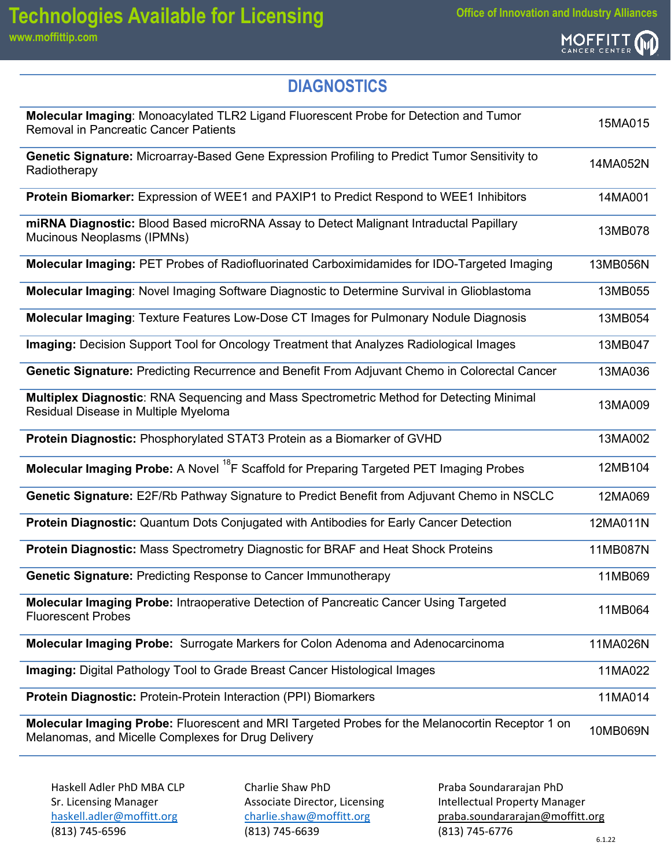MOFFITT (M)

### **DIAGNOSTICS**

| <b>Molecular Imaging: Monoacylated TLR2 Ligand Fluorescent Probe for Detection and Tumor</b><br>Removal in Pancreatic Cancer Patients                        | 15MA015  |
|--------------------------------------------------------------------------------------------------------------------------------------------------------------|----------|
| Genetic Signature: Microarray-Based Gene Expression Profiling to Predict Tumor Sensitivity to<br>Radiotherapy                                                | 14MA052N |
| Protein Biomarker: Expression of WEE1 and PAXIP1 to Predict Respond to WEE1 Inhibitors                                                                       | 14MA001  |
| miRNA Diagnostic: Blood Based microRNA Assay to Detect Malignant Intraductal Papillary<br>Mucinous Neoplasms (IPMNs)                                         | 13MB078  |
| Molecular Imaging: PET Probes of Radiofluorinated Carboximidamides for IDO-Targeted Imaging                                                                  | 13MB056N |
| <b>Molecular Imaging: Novel Imaging Software Diagnostic to Determine Survival in Glioblastoma</b>                                                            | 13MB055  |
| <b>Molecular Imaging: Texture Features Low-Dose CT Images for Pulmonary Nodule Diagnosis</b>                                                                 | 13MB054  |
| Imaging: Decision Support Tool for Oncology Treatment that Analyzes Radiological Images                                                                      | 13MB047  |
| Genetic Signature: Predicting Recurrence and Benefit From Adjuvant Chemo in Colorectal Cancer                                                                | 13MA036  |
| <b>Multiplex Diagnostic: RNA Sequencing and Mass Spectrometric Method for Detecting Minimal</b><br>Residual Disease in Multiple Myeloma                      | 13MA009  |
| Protein Diagnostic: Phosphorylated STAT3 Protein as a Biomarker of GVHD                                                                                      | 13MA002  |
| <b>Molecular Imaging Probe:</b> A Novel <sup>18</sup> F Scaffold for Preparing Targeted PET Imaging Probes                                                   | 12MB104  |
| Genetic Signature: E2F/Rb Pathway Signature to Predict Benefit from Adjuvant Chemo in NSCLC                                                                  | 12MA069  |
| Protein Diagnostic: Quantum Dots Conjugated with Antibodies for Early Cancer Detection                                                                       | 12MA011N |
| Protein Diagnostic: Mass Spectrometry Diagnostic for BRAF and Heat Shock Proteins                                                                            | 11MB087N |
| <b>Genetic Signature: Predicting Response to Cancer Immunotherapy</b>                                                                                        | 11MB069  |
| Molecular Imaging Probe: Intraoperative Detection of Pancreatic Cancer Using Targeted<br><b>Fluorescent Probes</b>                                           | 11MB064  |
| <b>Molecular Imaging Probe:</b> Surrogate Markers for Colon Adenoma and Adenocarcinoma                                                                       | 11MA026N |
| Imaging: Digital Pathology Tool to Grade Breast Cancer Histological Images                                                                                   | 11MA022  |
| <b>Protein Diagnostic: Protein-Protein Interaction (PPI) Biomarkers</b>                                                                                      | 11MA014  |
| <b>Molecular Imaging Probe:</b> Fluorescent and MRI Targeted Probes for the Melanocortin Receptor 1 on<br>Melanomas, and Micelle Complexes for Drug Delivery | 10MB069N |

Charlie Shaw PhD Associate Director, Licensing [charlie.shaw@moffitt.org](mailto:charlie.shaw@moffitt.org) (813) 745-6639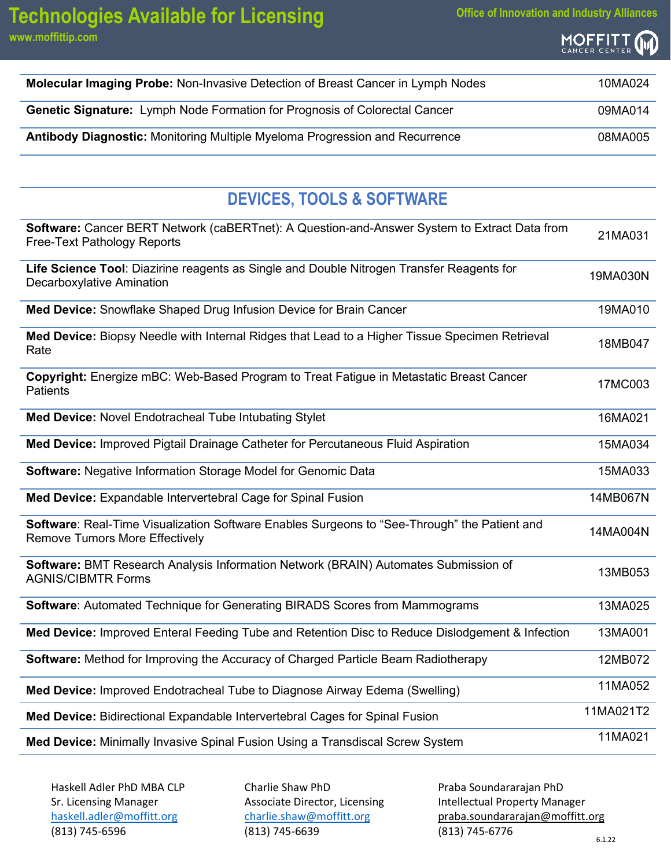

| <b>Molecular Imaging Probe:</b> Non-Invasive Detection of Breast Cancer in Lymph Nodes | 10MA024 |
|----------------------------------------------------------------------------------------|---------|
| <b>Genetic Signature:</b> Lymph Node Formation for Prognosis of Colorectal Cancer      | 09MA014 |
| <b>Antibody Diagnostic:</b> Monitoring Multiple Myeloma Progression and Recurrence     | 08MA005 |

## **DEVICES, TOOLS & SOFTWARE**

| Software: Cancer BERT Network (caBERTnet): A Question-and-Answer System to Extract Data from<br><b>Free-Text Pathology Reports</b>           | 21MA031   |
|----------------------------------------------------------------------------------------------------------------------------------------------|-----------|
| Life Science Tool: Diazirine reagents as Single and Double Nitrogen Transfer Reagents for<br>Decarboxylative Amination                       | 19MA030N  |
| Med Device: Snowflake Shaped Drug Infusion Device for Brain Cancer                                                                           | 19MA010   |
| Med Device: Biopsy Needle with Internal Ridges that Lead to a Higher Tissue Specimen Retrieval<br>Rate                                       | 18MB047   |
| Copyright: Energize mBC: Web-Based Program to Treat Fatigue in Metastatic Breast Cancer<br><b>Patients</b>                                   | 17MC003   |
| Med Device: Novel Endotracheal Tube Intubating Stylet                                                                                        | 16MA021   |
| Med Device: Improved Pigtail Drainage Catheter for Percutaneous Fluid Aspiration                                                             | 15MA034   |
| Software: Negative Information Storage Model for Genomic Data                                                                                | 15MA033   |
| Med Device: Expandable Intervertebral Cage for Spinal Fusion                                                                                 | 14MB067N  |
| <b>Software: Real-Time Visualization Software Enables Surgeons to "See-Through" the Patient and</b><br><b>Remove Tumors More Effectively</b> | 14MA004N  |
| Software: BMT Research Analysis Information Network (BRAIN) Automates Submission of<br><b>AGNIS/CIBMTR Forms</b>                             | 13MB053   |
| Software: Automated Technique for Generating BIRADS Scores from Mammograms                                                                   | 13MA025   |
| Med Device: Improved Enteral Feeding Tube and Retention Disc to Reduce Dislodgement & Infection                                              | 13MA001   |
| Software: Method for Improving the Accuracy of Charged Particle Beam Radiotherapy                                                            | 12MB072   |
| Med Device: Improved Endotracheal Tube to Diagnose Airway Edema (Swelling)                                                                   | 11MA052   |
| Med Device: Bidirectional Expandable Intervertebral Cages for Spinal Fusion                                                                  | 11MA021T2 |
| Med Device: Minimally Invasive Spinal Fusion Using a Transdiscal Screw System                                                                | 11MA021   |

Charlie Shaw PhD Associate Director, Licensing [charlie.shaw@moffitt.org](mailto:charlie.shaw@moffitt.org) (813) 745-6639